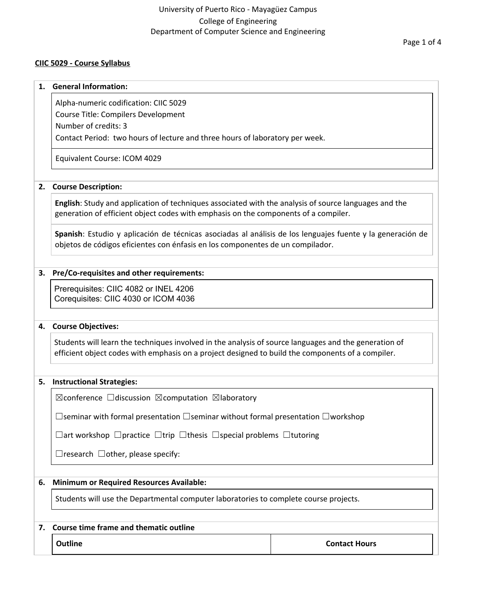## University of Puerto Rico - Mayagüez Campus College of Engineering Department of Computer Science and Engineering

### **CIIC 5029 - Course Syllabus**

#### **1. General Information:**

Alpha-numeric codification: CIIC 5029

Course Title: Compilers Development

Number of credits: 3

Contact Period: two hours of lecture and three hours of laboratory per week.

Equivalent Course: ICOM 4029

### **2. Course Description:**

**English**: Study and application of techniques associated with the analysis of source languages and the generation of efficient object codes with emphasis on the components of a compiler.

**Spanish**: Estudio y aplicación de técnicas asociadas al análisis de los lenguajes fuente y la generación de objetos de códigos eficientes con énfasis en los componentes de un compilador.

### **3. Pre/Co-requisites and other requirements:**

Prerequisites: CIIC 4082 or INEL 4206 Corequisites: CIIC 4030 or ICOM 4036

### **4. Course Objectives:**

Students will learn the techniques involved in the analysis of source languages and the generation of efficient object codes with emphasis on a project designed to build the components of a compiler.

#### **5. Instructional Strategies:**

☒conference ☐discussion ☒computation ☒laboratory

☐seminar with formal presentation ☐seminar without formal presentation ☐workshop

☐art workshop ☐practice ☐trip ☐thesis ☐special problems ☐tutoring

 $\Box$ research  $\Box$ other, please specify:

### **6. Minimum or Required Resources Available:**

Students will use the Departmental computer laboratories to complete course projects.

#### **7. Course time frame and thematic outline**

**Outline Contact Hours**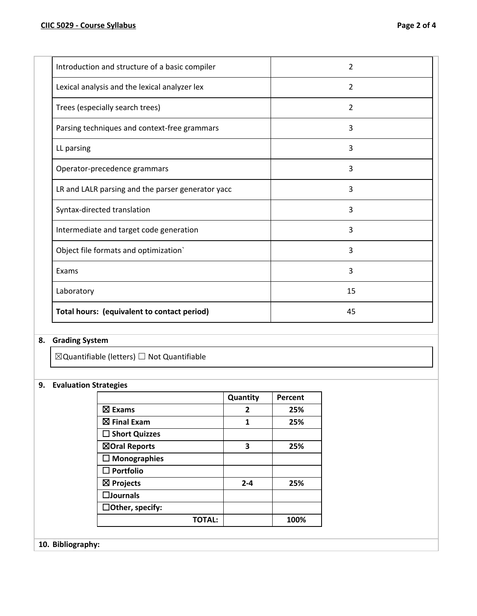| Introduction and structure of a basic compiler    | $\overline{2}$ |
|---------------------------------------------------|----------------|
| Lexical analysis and the lexical analyzer lex     | $\overline{2}$ |
| Trees (especially search trees)                   | 2              |
| Parsing techniques and context-free grammars      | 3              |
| LL parsing                                        | 3              |
| Operator-precedence grammars                      | 3              |
| LR and LALR parsing and the parser generator yacc | 3              |
| Syntax-directed translation                       | 3              |
| Intermediate and target code generation           | 3              |
| Object file formats and optimization`             | 3              |
| Exams                                             | 3              |
| Laboratory                                        | 15             |
| Total hours: (equivalent to contact period)       | 45             |

# **8. Grading System**

 $\boxtimes$ Quantifiable (letters)  $\Box$  Not Quantifiable

## **9. Evaluation Strategies**

|                        | Quantity | Percent |
|------------------------|----------|---------|
| $\boxtimes$ Exams      | 2        | 25%     |
| $\boxtimes$ Final Exam | 1        | 25%     |
| $\Box$ Short Quizzes   |          |         |
| ⊠Oral Reports          | 3        | 25%     |
| $\Box$ Monographies    |          |         |
| $\square$ Portfolio    |          |         |
| $\boxtimes$ Projects   | $2 - 4$  | 25%     |
| $\square$ Journals     |          |         |
| $\Box$ Other, specify: |          |         |
| <b>TOTAL:</b>          |          | 100%    |

# **10. Bibliography:**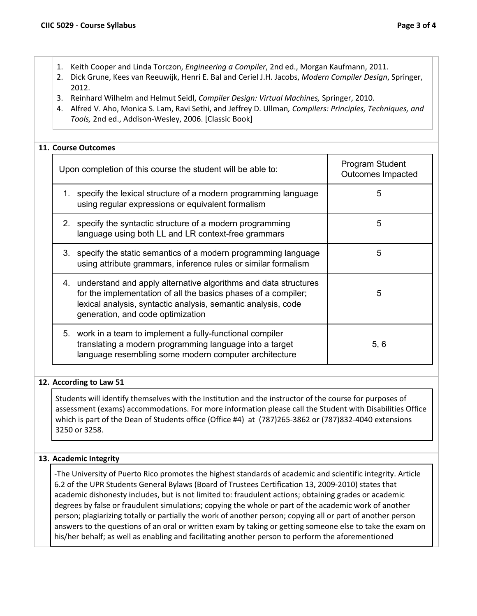- 1. Keith Cooper and Linda Torczon, *Engineering a Compiler*, 2nd ed., Morgan Kaufmann, 2011.
- 2. Dick Grune, Kees van Reeuwijk, Henri E. Bal and Ceriel J.H. Jacobs, *Modern Compiler Design*, Springer, 2012.
- 3. Reinhard Wilhelm and Helmut Seidl, *Compiler Design: Virtual Machines,* Springer, 2010.
- 4. Alfred V. Aho, Monica S. Lam, Ravi Sethi, and Jeffrey D. Ullman*, Compilers: Principles, Techniques, and Tools,* 2nd ed., Addison-Wesley, 2006. [Classic Book]

### **11. Course Outcomes**

| Upon completion of this course the student will be able to:                                                                                                                                                                                | Program Student<br><b>Outcomes Impacted</b> |
|--------------------------------------------------------------------------------------------------------------------------------------------------------------------------------------------------------------------------------------------|---------------------------------------------|
| 1. specify the lexical structure of a modern programming language<br>using regular expressions or equivalent formalism                                                                                                                     | 5                                           |
| 2. specify the syntactic structure of a modern programming<br>language using both LL and LR context-free grammars                                                                                                                          | 5                                           |
| 3. specify the static semantics of a modern programming language<br>using attribute grammars, inference rules or similar formalism                                                                                                         | 5                                           |
| 4. understand and apply alternative algorithms and data structures<br>for the implementation of all the basics phases of a compiler;<br>lexical analysis, syntactic analysis, semantic analysis, code<br>generation, and code optimization | 5                                           |
| 5. work in a team to implement a fully-functional compiler<br>translating a modern programming language into a target<br>language resembling some modern computer architecture                                                             | 5, 6                                        |

### **12. According to Law 51**

Students will identify themselves with the Institution and the instructor of the course for purposes of assessment (exams) accommodations. For more information please call the Student with Disabilities Office which is part of the Dean of Students office (Office #4) at (787)265-3862 or (787)832-4040 extensions 3250 or 3258.

### **13. Academic Integrity**

-The University of Puerto Rico promotes the highest standards of academic and scientific integrity. Article 6.2 of the UPR Students General Bylaws (Board of Trustees Certification 13, 2009-2010) states that academic dishonesty includes, but is not limited to: fraudulent actions; obtaining grades or academic degrees by false or fraudulent simulations; copying the whole or part of the academic work of another person; plagiarizing totally or partially the work of another person; copying all or part of another person answers to the questions of an oral or written exam by taking or getting someone else to take the exam on his/her behalf; as well as enabling and facilitating another person to perform the aforementioned